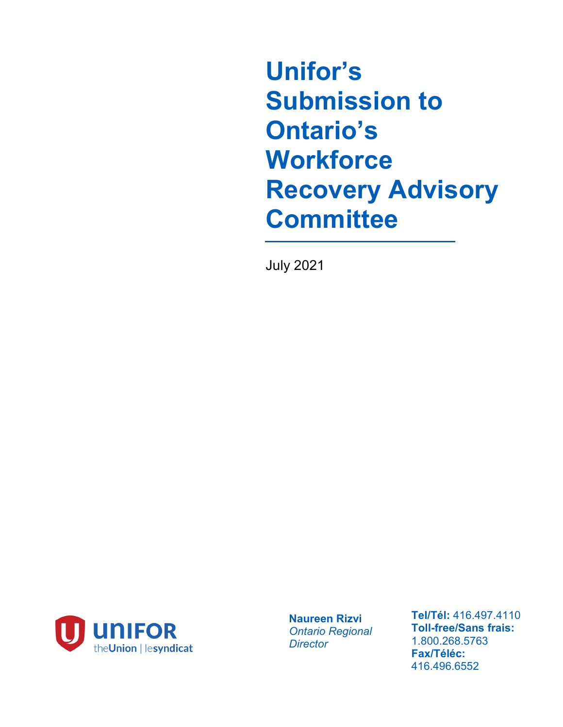**Unifor's Submission to Ontario's Workforce Recovery Advisory Committee**

July 2021



**Naureen Rizvi** *Ontario Regional Director*

**Tel/Tél:** 416.497.4110 **Toll-free/Sans frais:**  1.800.268.5763 **Fax/Téléc:**  416.496.6552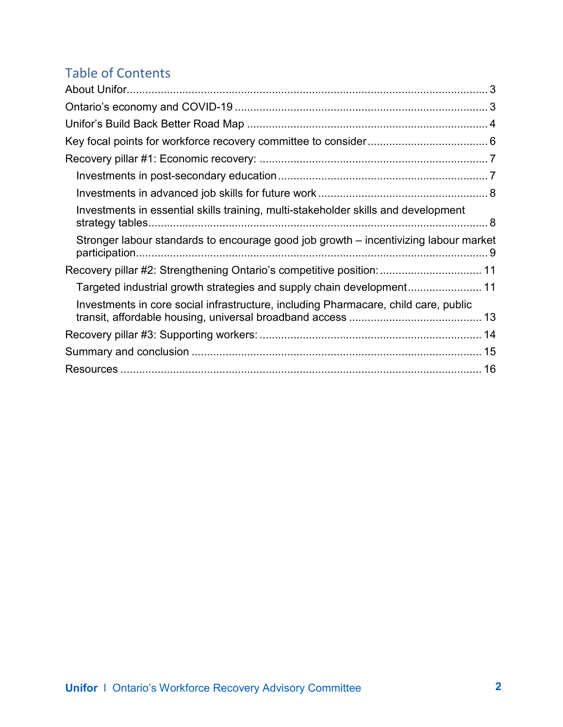# Table of Contents

| Investments in essential skills training, multi-stakeholder skills and development   |  |
|--------------------------------------------------------------------------------------|--|
| Stronger labour standards to encourage good job growth – incentivizing labour market |  |
| Recovery pillar #2: Strengthening Ontario's competitive position:  11                |  |
|                                                                                      |  |
| Investments in core social infrastructure, including Pharmacare, child care, public  |  |
|                                                                                      |  |
|                                                                                      |  |
|                                                                                      |  |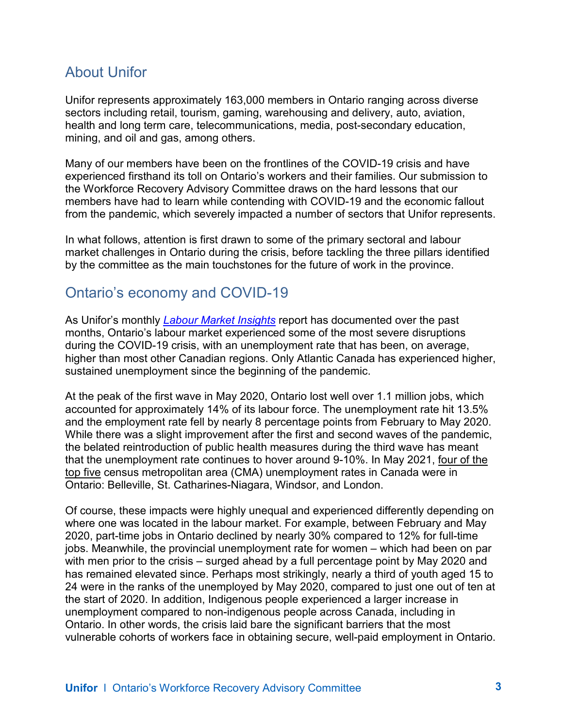# <span id="page-2-0"></span>About Unifor

Unifor represents approximately 163,000 members in Ontario ranging across diverse sectors including retail, tourism, gaming, warehousing and delivery, auto, aviation, health and long term care, telecommunications, media, post-secondary education, mining, and oil and gas, among others.

Many of our members have been on the frontlines of the COVID-19 crisis and have experienced firsthand its toll on Ontario's workers and their families. Our submission to the Workforce Recovery Advisory Committee draws on the hard lessons that our members have had to learn while contending with COVID-19 and the economic fallout from the pandemic, which severely impacted a number of sectors that Unifor represents.

In what follows, attention is first drawn to some of the primary sectoral and labour market challenges in Ontario during the crisis, before tackling the three pillars identified by the committee as the main touchstones for the future of work in the province.

### <span id="page-2-1"></span>Ontario's economy and COVID-19

As Unifor's monthly *[Labour Market Insights](https://www.unifor.org/en/resources/labour-market-insights)* report has documented over the past months, Ontario's labour market experienced some of the most severe disruptions during the COVID-19 crisis, with an unemployment rate that has been, on average, higher than most other Canadian regions. Only Atlantic Canada has experienced higher, sustained unemployment since the beginning of the pandemic.

At the peak of the first wave in May 2020, Ontario lost well over 1.1 million jobs, which accounted for approximately 14% of its labour force. The unemployment rate hit 13.5% and the employment rate fell by nearly 8 percentage points from February to May 2020. While there was a slight improvement after the first and second waves of the pandemic, the belated reintroduction of public health measures during the third wave has meant that the unemployment rate continues to hover around 9-10%. In May 2021, [four of the](https://www.ontario.ca/page/labour-market-report-may-2021)  [top five](https://www.ontario.ca/page/labour-market-report-may-2021) census metropolitan area (CMA) unemployment rates in Canada were in Ontario: Belleville, St. Catharines-Niagara, Windsor, and London.

Of course, these impacts were highly unequal and experienced differently depending on where one was located in the labour market. For example, between February and May 2020, part-time jobs in Ontario declined by nearly 30% compared to 12% for full-time jobs. Meanwhile, the provincial unemployment rate for women – which had been on par with men prior to the crisis – surged ahead by a full percentage point by May 2020 and has remained elevated since. Perhaps most strikingly, nearly a third of youth aged 15 to 24 were in the ranks of the unemployed by May 2020, compared to just one out of ten at the start of 2020. In addition, Indigenous people experienced a larger increase in unemployment compared to non-indigenous people across Canada, including in Ontario. In other words, the crisis laid bare the significant barriers that the most vulnerable cohorts of workers face in obtaining secure, well-paid employment in Ontario.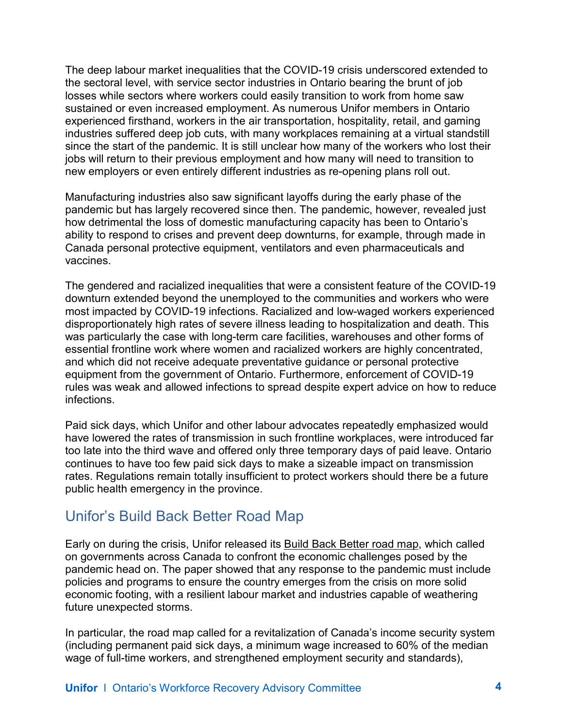The deep labour market inequalities that the COVID-19 crisis underscored extended to the sectoral level, with service sector industries in Ontario bearing the brunt of job losses while sectors where workers could easily transition to work from home saw sustained or even increased employment. As numerous Unifor members in Ontario experienced firsthand, workers in the air transportation, hospitality, retail, and gaming industries suffered deep job cuts, with many workplaces remaining at a virtual standstill since the start of the pandemic. It is still unclear how many of the workers who lost their jobs will return to their previous employment and how many will need to transition to new employers or even entirely different industries as re-opening plans roll out.

Manufacturing industries also saw significant layoffs during the early phase of the pandemic but has largely recovered since then. The pandemic, however, revealed just how detrimental the loss of domestic manufacturing capacity has been to Ontario's ability to respond to crises and prevent deep downturns, for example, through made in Canada personal protective equipment, ventilators and even pharmaceuticals and vaccines.

The gendered and racialized inequalities that were a consistent feature of the COVID-19 downturn extended beyond the unemployed to the communities and workers who were most impacted by COVID-19 infections. Racialized and low-waged workers experienced disproportionately high rates of severe illness leading to hospitalization and death. This was particularly the case with long-term care facilities, warehouses and other forms of essential frontline work where women and racialized workers are highly concentrated, and which did not receive adequate preventative guidance or personal protective equipment from the government of Ontario. Furthermore, enforcement of COVID-19 rules was weak and allowed infections to spread despite expert advice on how to reduce infections.

Paid sick days, which Unifor and other labour advocates repeatedly emphasized would have lowered the rates of transmission in such frontline workplaces, were introduced far too late into the third wave and offered only three temporary days of paid leave. Ontario continues to have too few paid sick days to make a sizeable impact on transmission rates. Regulations remain totally insufficient to protect workers should there be a future public health emergency in the province.

### <span id="page-3-0"></span>Unifor's Build Back Better Road Map

Early on during the crisis, Unifor released its [Build Back Better road map,](https://buildbackbetter.unifor.org/) which called on governments across Canada to confront the economic challenges posed by the pandemic head on. The paper showed that any response to the pandemic must include policies and programs to ensure the country emerges from the crisis on more solid economic footing, with a resilient labour market and industries capable of weathering future unexpected storms.

In particular, the road map called for a revitalization of Canada's income security system (including permanent paid sick days, a minimum wage increased to 60% of the median wage of full-time workers, and strengthened employment security and standards),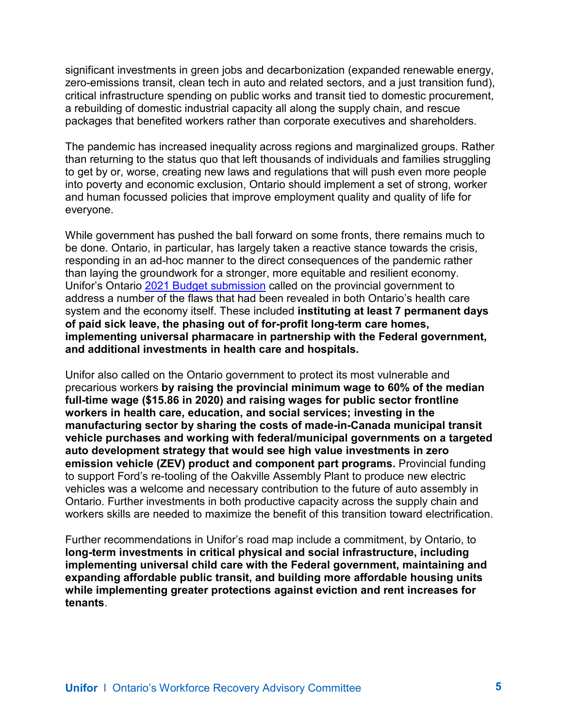significant investments in green jobs and decarbonization (expanded renewable energy, zero-emissions transit, clean tech in auto and related sectors, and a just transition fund), critical infrastructure spending on public works and transit tied to domestic procurement, a rebuilding of domestic industrial capacity all along the supply chain, and rescue packages that benefited workers rather than corporate executives and shareholders.

The pandemic has increased inequality across regions and marginalized groups. Rather than returning to the status quo that left thousands of individuals and families struggling to get by or, worse, creating new laws and regulations that will push even more people into poverty and economic exclusion, Ontario should implement a set of strong, worker and human focussed policies that improve employment quality and quality of life for everyone.

While government has pushed the ball forward on some fronts, there remains much to be done. Ontario, in particular, has largely taken a reactive stance towards the crisis, responding in an ad-hoc manner to the direct consequences of the pandemic rather than laying the groundwork for a stronger, more equitable and resilient economy. Unifor's Ontario [2021 Budget submission](https://www.unifor.org/en/whats-new/briefs-statements/ontario-2021-budget-consultation-submission) called on the provincial government to address a number of the flaws that had been revealed in both Ontario's health care system and the economy itself. These included **instituting at least 7 permanent days of paid sick leave, the phasing out of for-profit long-term care homes, implementing universal pharmacare in partnership with the Federal government, and additional investments in health care and hospitals.**

Unifor also called on the Ontario government to protect its most vulnerable and precarious workers **by raising the provincial minimum wage to 60% of the median full-time wage (\$15.86 in 2020) and raising wages for public sector frontline workers in health care, education, and social services; investing in the manufacturing sector by sharing the costs of made-in-Canada municipal transit vehicle purchases and working with federal/municipal governments on a targeted auto development strategy that would see high value investments in zero emission vehicle (ZEV) product and component part programs.** Provincial funding to support Ford's re-tooling of the Oakville Assembly Plant to produce new electric vehicles was a welcome and necessary contribution to the future of auto assembly in Ontario. Further investments in both productive capacity across the supply chain and workers skills are needed to maximize the benefit of this transition toward electrification.

Further recommendations in Unifor's road map include a commitment, by Ontario, to **long-term investments in critical physical and social infrastructure, including implementing universal child care with the Federal government, maintaining and expanding affordable public transit, and building more affordable housing units while implementing greater protections against eviction and rent increases for tenants**.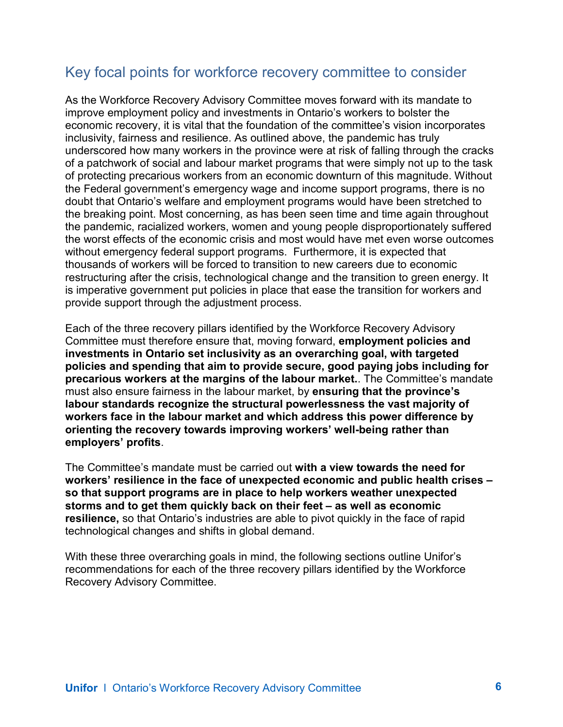# <span id="page-5-0"></span>Key focal points for workforce recovery committee to consider

As the Workforce Recovery Advisory Committee moves forward with its mandate to improve employment policy and investments in Ontario's workers to bolster the economic recovery, it is vital that the foundation of the committee's vision incorporates inclusivity, fairness and resilience. As outlined above, the pandemic has truly underscored how many workers in the province were at risk of falling through the cracks of a patchwork of social and labour market programs that were simply not up to the task of protecting precarious workers from an economic downturn of this magnitude. Without the Federal government's emergency wage and income support programs, there is no doubt that Ontario's welfare and employment programs would have been stretched to the breaking point. Most concerning, as has been seen time and time again throughout the pandemic, racialized workers, women and young people disproportionately suffered the worst effects of the economic crisis and most would have met even worse outcomes without emergency federal support programs. Furthermore, it is expected that thousands of workers will be forced to transition to new careers due to economic restructuring after the crisis, technological change and the transition to green energy. It is imperative government put policies in place that ease the transition for workers and provide support through the adjustment process.

Each of the three recovery pillars identified by the Workforce Recovery Advisory Committee must therefore ensure that, moving forward, **employment policies and investments in Ontario set inclusivity as an overarching goal, with targeted policies and spending that aim to provide secure, good paying jobs including for precarious workers at the margins of the labour market.**. The Committee's mandate must also ensure fairness in the labour market, by **ensuring that the province's labour standards recognize the structural powerlessness the vast majority of workers face in the labour market and which address this power difference by orienting the recovery towards improving workers' well-being rather than employers' profits**.

The Committee's mandate must be carried out **with a view towards the need for workers' resilience in the face of unexpected economic and public health crises – so that support programs are in place to help workers weather unexpected storms and to get them quickly back on their feet – as well as economic resilience,** so that Ontario's industries are able to pivot quickly in the face of rapid technological changes and shifts in global demand.

With these three overarching goals in mind, the following sections outline Unifor's recommendations for each of the three recovery pillars identified by the Workforce Recovery Advisory Committee.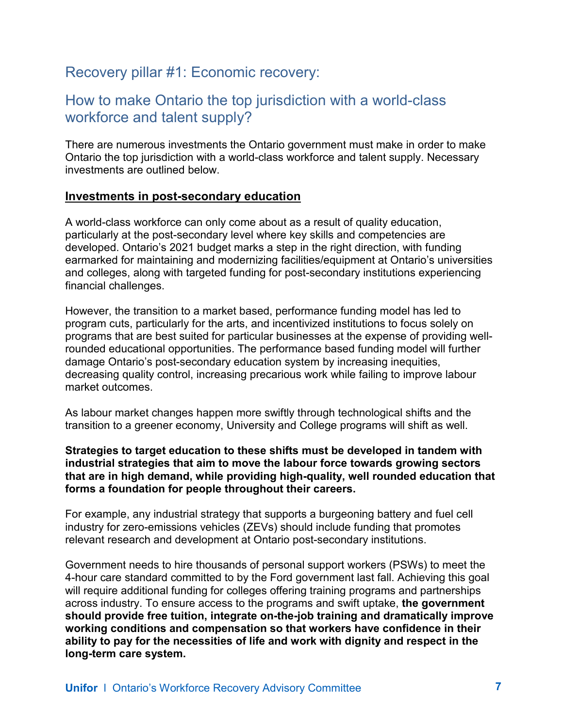# <span id="page-6-0"></span>Recovery pillar #1: Economic recovery:

### How to make Ontario the top jurisdiction with a world-class workforce and talent supply?

There are numerous investments the Ontario government must make in order to make Ontario the top jurisdiction with a world-class workforce and talent supply. Necessary investments are outlined below.

#### <span id="page-6-1"></span>**Investments in post-secondary education**

A world-class workforce can only come about as a result of quality education, particularly at the post-secondary level where key skills and competencies are developed. Ontario's 2021 budget marks a step in the right direction, with funding earmarked for maintaining and modernizing facilities/equipment at Ontario's universities and colleges, along with targeted funding for post-secondary institutions experiencing financial challenges.

However, the transition to a market based, performance funding model has led to program cuts, particularly for the arts, and incentivized institutions to focus solely on programs that are best suited for particular businesses at the expense of providing wellrounded educational opportunities. The performance based funding model will further damage Ontario's post-secondary education system by increasing inequities, decreasing quality control, increasing precarious work while failing to improve labour market outcomes.

As labour market changes happen more swiftly through technological shifts and the transition to a greener economy, University and College programs will shift as well.

#### **Strategies to target education to these shifts must be developed in tandem with industrial strategies that aim to move the labour force towards growing sectors that are in high demand, while providing high-quality, well rounded education that forms a foundation for people throughout their careers.**

For example, any industrial strategy that supports a burgeoning battery and fuel cell industry for zero-emissions vehicles (ZEVs) should include funding that promotes relevant research and development at Ontario post-secondary institutions.

Government needs to hire thousands of personal support workers (PSWs) to meet the 4-hour care standard committed to by the Ford government last fall. Achieving this goal will require additional funding for colleges offering training programs and partnerships across industry. To ensure access to the programs and swift uptake, **the government should provide free tuition, integrate on-the-job training and dramatically improve working conditions and compensation so that workers have confidence in their ability to pay for the necessities of life and work with dignity and respect in the long-term care system.**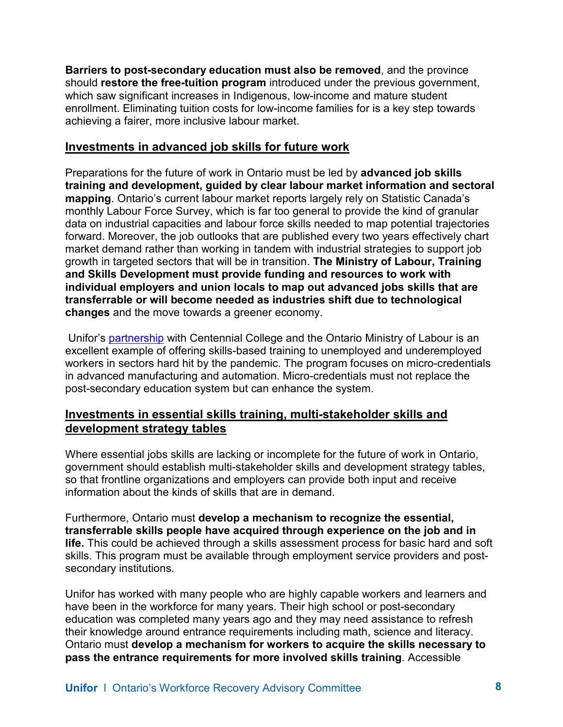**Barriers to post-secondary education must also be removed**, and the province should **restore the free-tuition program** introduced under the previous government, which saw significant increases in Indigenous, low-income and mature student enrollment. Eliminating tuition costs for low-income families for is a key step towards achieving a fairer, more inclusive labour market.

#### <span id="page-7-0"></span>**Investments in advanced job skills for future work**

Preparations for the future of work in Ontario must be led by **advanced job skills training and development, guided by clear labour market information and sectoral mapping**. Ontario's current labour market reports largely rely on Statistic Canada's monthly Labour Force Survey, which is far too general to provide the kind of granular data on industrial capacities and labour force skills needed to map potential trajectories forward. Moreover, the job outlooks that are published every two years effectively chart market demand rather than working in tandem with industrial strategies to support job growth in targeted sectors that will be in transition. **The Ministry of Labour, Training and Skills Development must provide funding and resources to work with individual employers and union locals to map out advanced jobs skills that are transferrable or will become needed as industries shift due to technological changes** and the move towards a greener economy.

Unifor's [partnership](https://centennialcollege.widen.net/s/fjdzgs6mvp/micro-credentials-advanced-manufacturing-and-automation) with Centennial College and the Ontario Ministry of Labour is an excellent example of offering skills-based training to unemployed and underemployed workers in sectors hard hit by the pandemic. The program focuses on micro-credentials in advanced manufacturing and automation. Micro-credentials must not replace the post-secondary education system but can enhance the system.

#### <span id="page-7-1"></span>**Investments in essential skills training, multi-stakeholder skills and development strategy tables**

Where essential jobs skills are lacking or incomplete for the future of work in Ontario, government should establish multi-stakeholder skills and development strategy tables, so that frontline organizations and employers can provide both input and receive information about the kinds of skills that are in demand.

Furthermore, Ontario must **develop a mechanism to recognize the essential, transferrable skills people have acquired through experience on the job and in life.** This could be achieved through a skills assessment process for basic hard and soft skills. This program must be available through employment service providers and postsecondary institutions.

Unifor has worked with many people who are highly capable workers and learners and have been in the workforce for many years. Their high school or post-secondary education was completed many years ago and they may need assistance to refresh their knowledge around entrance requirements including math, science and literacy. Ontario must **develop a mechanism for workers to acquire the skills necessary to pass the entrance requirements for more involved skills training**. Accessible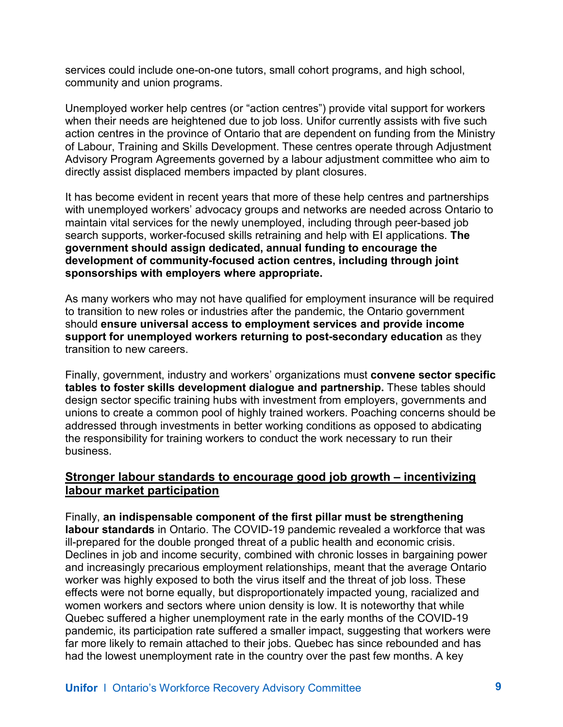services could include one-on-one tutors, small cohort programs, and high school, community and union programs.

Unemployed worker help centres (or "action centres") provide vital support for workers when their needs are heightened due to job loss. Unifor currently assists with five such action centres in the province of Ontario that are dependent on funding from the Ministry of Labour, Training and Skills Development. These centres operate through Adjustment Advisory Program Agreements governed by a labour adjustment committee who aim to directly assist displaced members impacted by plant closures.

It has become evident in recent years that more of these help centres and partnerships with unemployed workers' advocacy groups and networks are needed across Ontario to maintain vital services for the newly unemployed, including through peer-based job search supports, worker-focused skills retraining and help with EI applications. **The government should assign dedicated, annual funding to encourage the development of community-focused action centres, including through joint sponsorships with employers where appropriate.**

As many workers who may not have qualified for employment insurance will be required to transition to new roles or industries after the pandemic, the Ontario government should **ensure universal access to employment services and provide income support for unemployed workers returning to post-secondary education** as they transition to new careers.

Finally, government, industry and workers' organizations must **convene sector specific tables to foster skills development dialogue and partnership.** These tables should design sector specific training hubs with investment from employers, governments and unions to create a common pool of highly trained workers. Poaching concerns should be addressed through investments in better working conditions as opposed to abdicating the responsibility for training workers to conduct the work necessary to run their business.

#### <span id="page-8-0"></span>**Stronger labour standards to encourage good job growth – incentivizing labour market participation**

Finally, **an indispensable component of the first pillar must be strengthening labour standards** in Ontario. The COVID-19 pandemic revealed a workforce that was ill-prepared for the double pronged threat of a public health and economic crisis. Declines in job and income security, combined with chronic losses in bargaining power and increasingly precarious employment relationships, meant that the average Ontario worker was highly exposed to both the virus itself and the threat of job loss. These effects were not borne equally, but disproportionately impacted young, racialized and women workers and sectors where union density is low. It is noteworthy that while Quebec suffered a higher unemployment rate in the early months of the COVID-19 pandemic, its participation rate suffered a smaller impact, suggesting that workers were far more likely to remain attached to their jobs. Quebec has since rebounded and has had the lowest unemployment rate in the country over the past few months. A key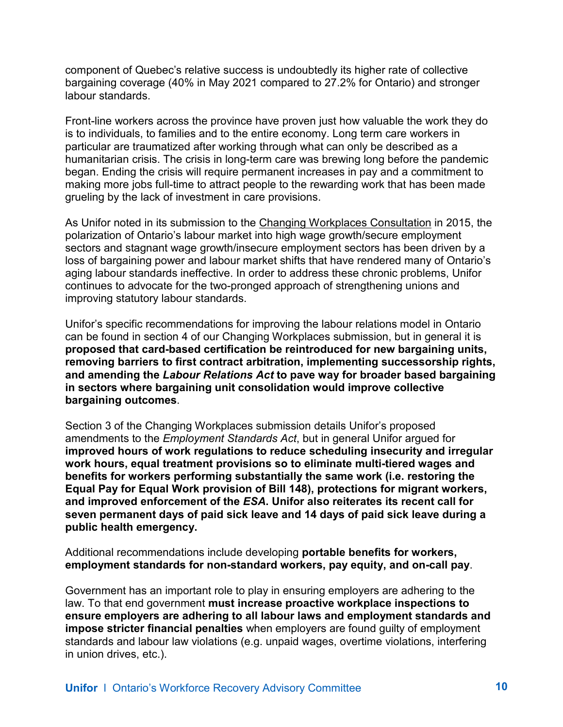component of Quebec's relative success is undoubtedly its higher rate of collective bargaining coverage (40% in May 2021 compared to 27.2% for Ontario) and stronger labour standards.

Front-line workers across the province have proven just how valuable the work they do is to individuals, to families and to the entire economy. Long term care workers in particular are traumatized after working through what can only be described as a humanitarian crisis. The crisis in long-term care was brewing long before the pandemic began. Ending the crisis will require permanent increases in pay and a commitment to making more jobs full-time to attract people to the rewarding work that has been made grueling by the lack of investment in care provisions.

As Unifor noted in its submission to the [Changing Workplaces Consultation](https://www.unifor.org/sites/default/files/attachments/unifor_final_submission_ontario_changing_workplaces.pdf) in 2015, the polarization of Ontario's labour market into high wage growth/secure employment sectors and stagnant wage growth/insecure employment sectors has been driven by a loss of bargaining power and labour market shifts that have rendered many of Ontario's aging labour standards ineffective. In order to address these chronic problems, Unifor continues to advocate for the two-pronged approach of strengthening unions and improving statutory labour standards.

Unifor's specific recommendations for improving the labour relations model in Ontario can be found in section 4 of our Changing Workplaces submission, but in general it is **proposed that card-based certification be reintroduced for new bargaining units, removing barriers to first contract arbitration, implementing successorship rights, and amending the** *Labour Relations Act* **to pave way for broader based bargaining in sectors where bargaining unit consolidation would improve collective bargaining outcomes**.

Section 3 of the Changing Workplaces submission details Unifor's proposed amendments to the *Employment Standards Act*, but in general Unifor argued for **improved hours of work regulations to reduce scheduling insecurity and irregular work hours, equal treatment provisions so to eliminate multi-tiered wages and benefits for workers performing substantially the same work (i.e. restoring the Equal Pay for Equal Work provision of Bill 148), protections for migrant workers, and improved enforcement of the** *ESA***. Unifor also reiterates its recent call for seven permanent days of paid sick leave and 14 days of paid sick leave during a public health emergency.** 

Additional recommendations include developing **portable benefits for workers, employment standards for non-standard workers, pay equity, and on-call pay**.

Government has an important role to play in ensuring employers are adhering to the law. To that end government **must increase proactive workplace inspections to ensure employers are adhering to all labour laws and employment standards and impose stricter financial penalties** when employers are found guilty of employment standards and labour law violations (e.g. unpaid wages, overtime violations, interfering in union drives, etc.).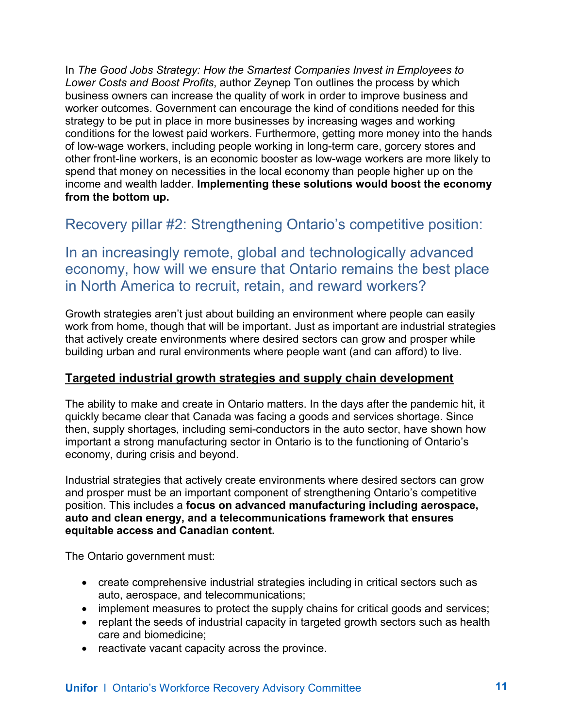In *The Good Jobs Strategy: How the Smartest Companies Invest in Employees to Lower Costs and Boost Profits*, author Zeynep Ton outlines the process by which business owners can increase the quality of work in order to improve business and worker outcomes. Government can encourage the kind of conditions needed for this strategy to be put in place in more businesses by increasing wages and working conditions for the lowest paid workers. Furthermore, getting more money into the hands of low-wage workers, including people working in long-term care, gorcery stores and other front-line workers, is an economic booster as low-wage workers are more likely to spend that money on necessities in the local economy than people higher up on the income and wealth ladder. **Implementing these solutions would boost the economy from the bottom up.** 

<span id="page-10-0"></span>Recovery pillar #2: Strengthening Ontario's competitive position:

In an increasingly remote, global and technologically advanced economy, how will we ensure that Ontario remains the best place in North America to recruit, retain, and reward workers?

Growth strategies aren't just about building an environment where people can easily work from home, though that will be important. Just as important are industrial strategies that actively create environments where desired sectors can grow and prosper while building urban and rural environments where people want (and can afford) to live.

### <span id="page-10-1"></span>**Targeted industrial growth strategies and supply chain development**

The ability to make and create in Ontario matters. In the days after the pandemic hit, it quickly became clear that Canada was facing a goods and services shortage. Since then, supply shortages, including semi-conductors in the auto sector, have shown how important a strong manufacturing sector in Ontario is to the functioning of Ontario's economy, during crisis and beyond.

Industrial strategies that actively create environments where desired sectors can grow and prosper must be an important component of strengthening Ontario's competitive position. This includes a **focus on advanced manufacturing including aerospace, auto and clean energy, and a telecommunications framework that ensures equitable access and Canadian content.**

The Ontario government must:

- create comprehensive industrial strategies including in critical sectors such as auto, aerospace, and telecommunications;
- implement measures to protect the supply chains for critical goods and services;
- replant the seeds of industrial capacity in targeted growth sectors such as health care and biomedicine;
- reactivate vacant capacity across the province.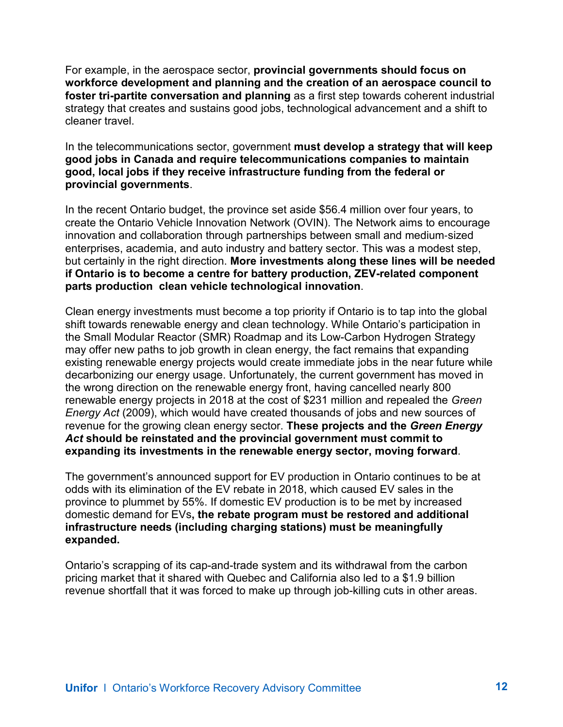For example, in the aerospace sector, **provincial governments should focus on workforce development and planning and the creation of an aerospace council to foster tri-partite conversation and planning** as a first step towards coherent industrial strategy that creates and sustains good jobs, technological advancement and a shift to cleaner travel.

In the telecommunications sector, government **must develop a strategy that will keep good jobs in Canada and require telecommunications companies to maintain good, local jobs if they receive infrastructure funding from the federal or provincial governments**.

In the recent Ontario budget, the province set aside \$56.4 million over four years, to create the Ontario Vehicle Innovation Network (OVIN). The Network aims to encourage innovation and collaboration through partnerships between small and medium‐sized enterprises, academia, and auto industry and battery sector. This was a modest step, but certainly in the right direction. **More investments along these lines will be needed if Ontario is to become a centre for battery production, ZEV-related component parts production clean vehicle technological innovation**.

Clean energy investments must become a top priority if Ontario is to tap into the global shift towards renewable energy and clean technology. While Ontario's participation in the Small Modular Reactor (SMR) Roadmap and its Low-Carbon Hydrogen Strategy may offer new paths to job growth in clean energy, the fact remains that expanding existing renewable energy projects would create immediate jobs in the near future while decarbonizing our energy usage. Unfortunately, the current government has moved in the wrong direction on the renewable energy front, having cancelled nearly 800 renewable energy projects in 2018 at the cost of \$231 million and repealed the *Green Energy Act* (2009), which would have created thousands of jobs and new sources of revenue for the growing clean energy sector. **These projects and the** *Green Energy Act* **should be reinstated and the provincial government must commit to expanding its investments in the renewable energy sector, moving forward**.

The government's announced support for EV production in Ontario continues to be at odds with its elimination of the EV rebate in 2018, which caused EV sales in the province to plummet by 55%. If domestic EV production is to be met by increased domestic demand for EVs**, the rebate program must be restored and additional infrastructure needs (including charging stations) must be meaningfully expanded.**

Ontario's scrapping of its cap-and-trade system and its withdrawal from the carbon pricing market that it shared with Quebec and California also led to a \$1.9 billion revenue shortfall that it was forced to make up through job-killing cuts in other areas.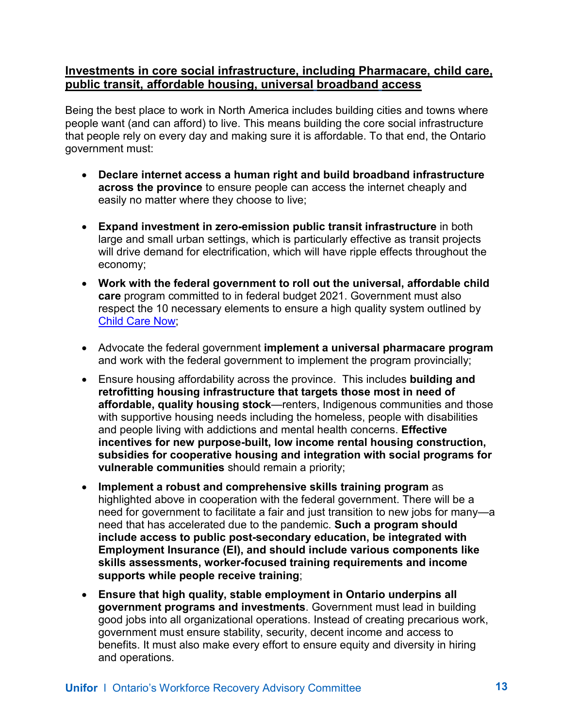#### <span id="page-12-0"></span>**Investments in core social infrastructure, including Pharmacare, child care, public transit, affordable housing, universal broadband access**

Being the best place to work in North America includes building cities and towns where people want (and can afford) to live. This means building the core social infrastructure that people rely on every day and making sure it is affordable. To that end, the Ontario government must:

- **Declare internet access a human right and build broadband infrastructure across the province** to ensure people can access the internet cheaply and easily no matter where they choose to live;
- **Expand investment in zero-emission public transit infrastructure** in both large and small urban settings, which is particularly effective as transit projects will drive demand for electrification, which will have ripple effects throughout the economy;
- **Work with the federal government to roll out the universal, affordable child care** program committed to in federal budget 2021. Government must also respect the 10 necessary elements to ensure a high quality system outlined by [Child Care Now;](https://timeforchildcare.ca/2021/07/06/canadas-roadmap-to-affordable-child-care-for-all/)
- Advocate the federal government **implement a universal pharmacare program** and work with the federal government to implement the program provincially;
- Ensure housing affordability across the province. This includes **building and retrofitting housing infrastructure that targets those most in need of affordable, quality housing stock**—renters, Indigenous communities and those with supportive housing needs including the homeless, people with disabilities and people living with addictions and mental health concerns. **Effective incentives for new purpose-built, low income rental housing construction, subsidies for cooperative housing and integration with social programs for vulnerable communities** should remain a priority;
- **Implement a robust and comprehensive skills training program** as highlighted above in cooperation with the federal government. There will be a need for government to facilitate a fair and just transition to new jobs for many—a need that has accelerated due to the pandemic. **Such a program should include access to public post-secondary education, be integrated with Employment Insurance (EI), and should include various components like skills assessments, worker-focused training requirements and income supports while people receive training**;
- **Ensure that high quality, stable employment in Ontario underpins all government programs and investments**. Government must lead in building good jobs into all organizational operations. Instead of creating precarious work, government must ensure stability, security, decent income and access to benefits. It must also make every effort to ensure equity and diversity in hiring and operations.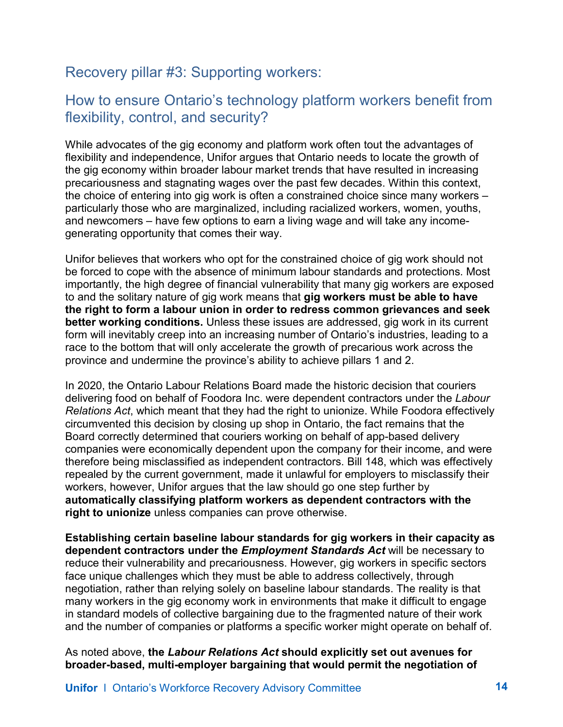# <span id="page-13-0"></span>Recovery pillar #3: Supporting workers:

### How to ensure Ontario's technology platform workers benefit from flexibility, control, and security?

While advocates of the gig economy and platform work often tout the advantages of flexibility and independence, Unifor argues that Ontario needs to locate the growth of the gig economy within broader labour market trends that have resulted in increasing precariousness and stagnating wages over the past few decades. Within this context, the choice of entering into gig work is often a constrained choice since many workers – particularly those who are marginalized, including racialized workers, women, youths, and newcomers – have few options to earn a living wage and will take any incomegenerating opportunity that comes their way.

Unifor believes that workers who opt for the constrained choice of gig work should not be forced to cope with the absence of minimum labour standards and protections. Most importantly, the high degree of financial vulnerability that many gig workers are exposed to and the solitary nature of gig work means that **gig workers must be able to have the right to form a labour union in order to redress common grievances and seek better working conditions.** Unless these issues are addressed, gig work in its current form will inevitably creep into an increasing number of Ontario's industries, leading to a race to the bottom that will only accelerate the growth of precarious work across the province and undermine the province's ability to achieve pillars 1 and 2.

In 2020, the Ontario Labour Relations Board made the historic decision that couriers delivering food on behalf of Foodora Inc. were dependent contractors under the *Labour Relations Act*, which meant that they had the right to unionize. While Foodora effectively circumvented this decision by closing up shop in Ontario, the fact remains that the Board correctly determined that couriers working on behalf of app-based delivery companies were economically dependent upon the company for their income, and were therefore being misclassified as independent contractors. Bill 148, which was effectively repealed by the current government, made it unlawful for employers to misclassify their workers, however, Unifor argues that the law should go one step further by **automatically classifying platform workers as dependent contractors with the right to unionize** unless companies can prove otherwise.

**Establishing certain baseline labour standards for gig workers in their capacity as dependent contractors under the** *Employment Standards Act* will be necessary to reduce their vulnerability and precariousness. However, gig workers in specific sectors face unique challenges which they must be able to address collectively, through negotiation, rather than relying solely on baseline labour standards. The reality is that many workers in the gig economy work in environments that make it difficult to engage in standard models of collective bargaining due to the fragmented nature of their work and the number of companies or platforms a specific worker might operate on behalf of.

As noted above, **the** *Labour Relations Act* **should explicitly set out avenues for broader-based, multi-employer bargaining that would permit the negotiation of**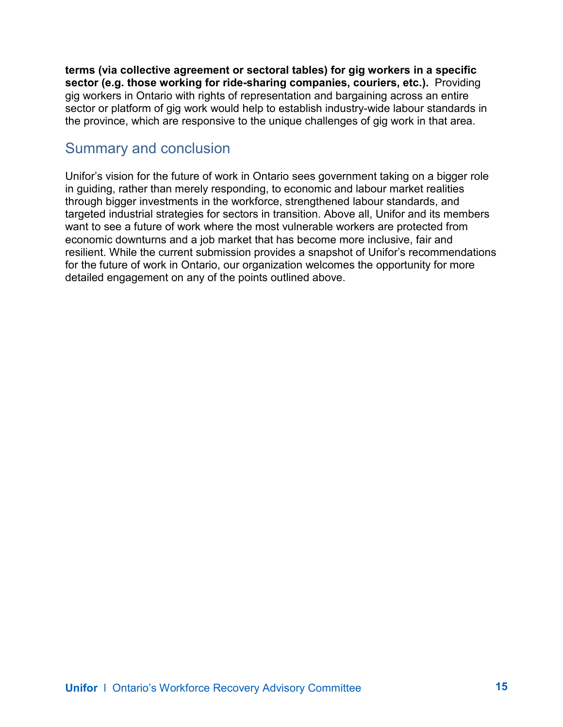**terms (via collective agreement or sectoral tables) for gig workers in a specific sector (e.g. those working for ride-sharing companies, couriers, etc.).** Providing gig workers in Ontario with rights of representation and bargaining across an entire sector or platform of gig work would help to establish industry-wide labour standards in the province, which are responsive to the unique challenges of gig work in that area.

### <span id="page-14-0"></span>Summary and conclusion

<span id="page-14-1"></span>Unifor's vision for the future of work in Ontario sees government taking on a bigger role in guiding, rather than merely responding, to economic and labour market realities through bigger investments in the workforce, strengthened labour standards, and targeted industrial strategies for sectors in transition. Above all, Unifor and its members want to see a future of work where the most vulnerable workers are protected from economic downturns and a job market that has become more inclusive, fair and resilient. While the current submission provides a snapshot of Unifor's recommendations for the future of work in Ontario, our organization welcomes the opportunity for more detailed engagement on any of the points outlined above.